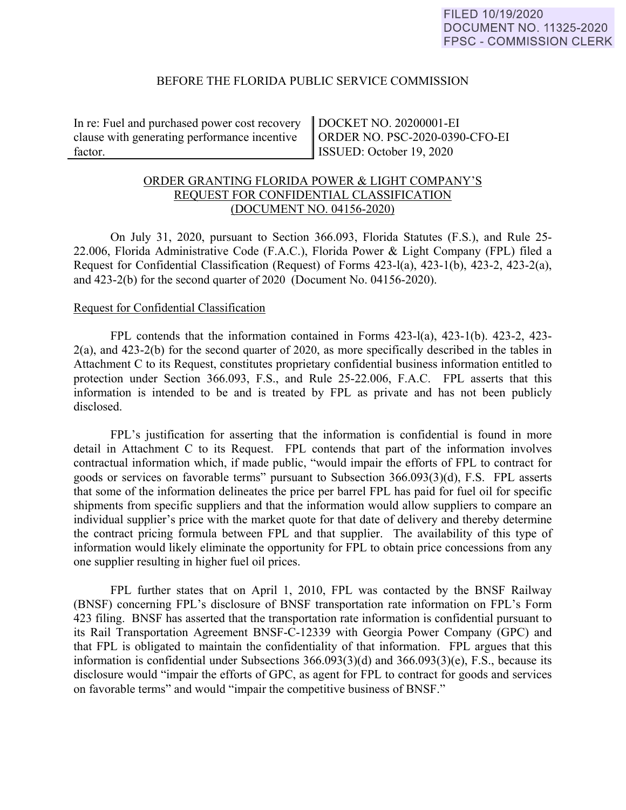### BEFORE THE FLORIDA PUBLIC SERVICE COMMISSION

In re: Fuel and purchased power cost recovery clause with generating performance incentive factor.

DOCKET NO. 20200001-EI ORDER NO. PSC-2020-0390-CFO-EI ISSUED: October 19, 2020

# ORDER GRANTING FLORIDA POWER & LIGHT COMPANY'S REQUEST FOR CONFIDENTIAL CLASSIFICATION (DOCUMENT NO. 04156-2020)

On July 31, 2020, pursuant to Section 366.093, Florida Statutes (F.S.), and Rule 25- 22.006, Florida Administrative Code (F.A.C.), Florida Power & Light Company (FPL) filed a Request for Confidential Classification (Request) of Forms 423-l(a), 423-1(b), 423-2, 423-2(a), and 423-2(b) for the second quarter of 2020 (Document No. 04156-2020).

#### Request for Confidential Classification

 FPL contends that the information contained in Forms 423-l(a), 423-1(b). 423-2, 423- 2(a), and 423-2(b) for the second quarter of 2020, as more specifically described in the tables in Attachment C to its Request, constitutes proprietary confidential business information entitled to protection under Section 366.093, F.S., and Rule 25-22.006, F.A.C. FPL asserts that this information is intended to be and is treated by FPL as private and has not been publicly disclosed.

FPL's justification for asserting that the information is confidential is found in more detail in Attachment C to its Request. FPL contends that part of the information involves contractual information which, if made public, "would impair the efforts of FPL to contract for goods or services on favorable terms" pursuant to Subsection 366.093(3)(d), F.S. FPL asserts that some of the information delineates the price per barrel FPL has paid for fuel oil for specific shipments from specific suppliers and that the information would allow suppliers to compare an individual supplier's price with the market quote for that date of delivery and thereby determine the contract pricing formula between FPL and that supplier. The availability of this type of information would likely eliminate the opportunity for FPL to obtain price concessions from any one supplier resulting in higher fuel oil prices.

 FPL further states that on April 1, 2010, FPL was contacted by the BNSF Railway (BNSF) concerning FPL's disclosure of BNSF transportation rate information on FPL's Form 423 filing. BNSF has asserted that the transportation rate information is confidential pursuant to its Rail Transportation Agreement BNSF-C-12339 with Georgia Power Company (GPC) and that FPL is obligated to maintain the confidentiality of that information. FPL argues that this information is confidential under Subsections 366.093(3)(d) and 366.093(3)(e), F.S., because its disclosure would "impair the efforts of GPC, as agent for FPL to contract for goods and services on favorable terms" and would "impair the competitive business of BNSF."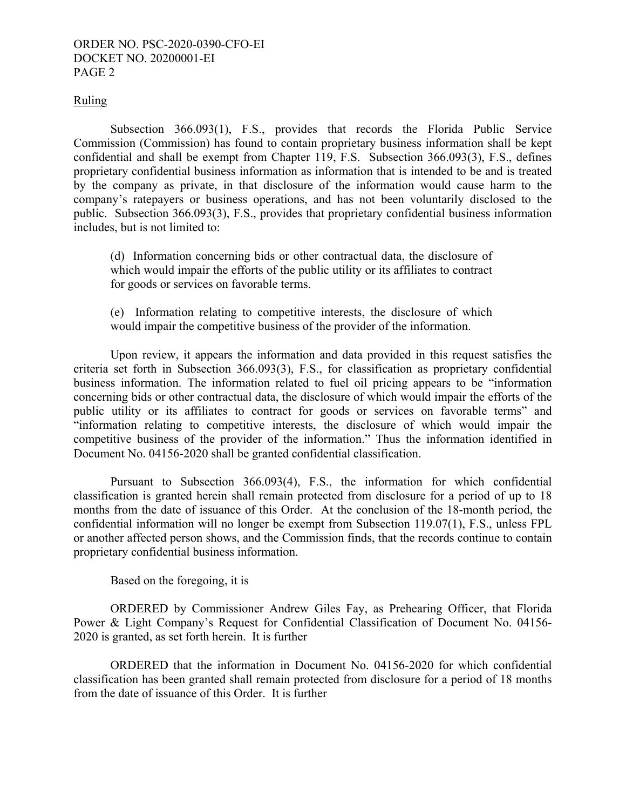### ORDER NO. PSC-2020-0390-CFO-EI DOCKET NO. 20200001-EI PAGE 2

### Ruling

Subsection 366.093(1), F.S., provides that records the Florida Public Service Commission (Commission) has found to contain proprietary business information shall be kept confidential and shall be exempt from Chapter 119, F.S. Subsection 366.093(3), F.S., defines proprietary confidential business information as information that is intended to be and is treated by the company as private, in that disclosure of the information would cause harm to the company's ratepayers or business operations, and has not been voluntarily disclosed to the public. Subsection 366.093(3), F.S., provides that proprietary confidential business information includes, but is not limited to:

(d) Information concerning bids or other contractual data, the disclosure of which would impair the efforts of the public utility or its affiliates to contract for goods or services on favorable terms.

(e) Information relating to competitive interests, the disclosure of which would impair the competitive business of the provider of the information.

Upon review, it appears the information and data provided in this request satisfies the criteria set forth in Subsection 366.093(3), F.S., for classification as proprietary confidential business information. The information related to fuel oil pricing appears to be "information concerning bids or other contractual data, the disclosure of which would impair the efforts of the public utility or its affiliates to contract for goods or services on favorable terms" and "information relating to competitive interests, the disclosure of which would impair the competitive business of the provider of the information." Thus the information identified in Document No. 04156-2020 shall be granted confidential classification.

Pursuant to Subsection 366.093(4), F.S., the information for which confidential classification is granted herein shall remain protected from disclosure for a period of up to 18 months from the date of issuance of this Order. At the conclusion of the 18-month period, the confidential information will no longer be exempt from Subsection 119.07(1), F.S., unless FPL or another affected person shows, and the Commission finds, that the records continue to contain proprietary confidential business information.

Based on the foregoing, it is

 ORDERED by Commissioner Andrew Giles Fay, as Prehearing Officer, that Florida Power & Light Company's Request for Confidential Classification of Document No. 04156- 2020 is granted, as set forth herein. It is further

 ORDERED that the information in Document No. 04156-2020 for which confidential classification has been granted shall remain protected from disclosure for a period of 18 months from the date of issuance of this Order. It is further